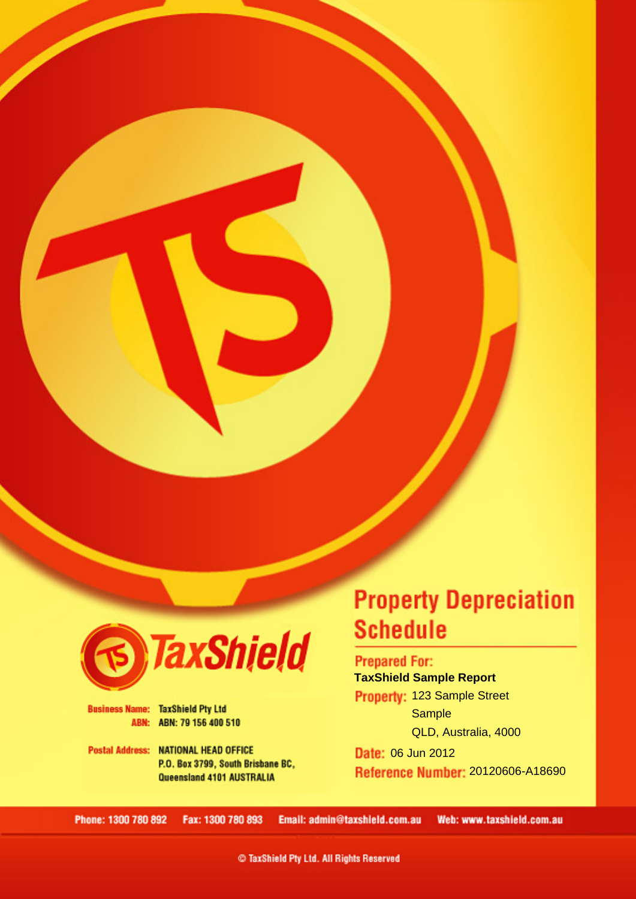

**Business Name: TaxShield Pty Ltd** ABN: ABN: 79 156 400 510

**Postal Address: NATIONAL HEAD OFFICE** P.O. Box 3799, South Brisbane BC, Queensland 4101 AUSTRALIA

# **Property Depreciation Schedule**

**TaxShield Sample Report**

123 Sample Street Sample, QLD, 4000

#### **Prepared For: TaxShield Sample Report**

Property: 123 Sample Street **Sample** QLD, Australia, 4000

Date: 06 Jun 2012 Reference Number: 20120606-A18690

Phone: 1300 780 892 Email: admin@taxshield.com.au Fax: 1300 780 893 Web: www.taxshield.com.au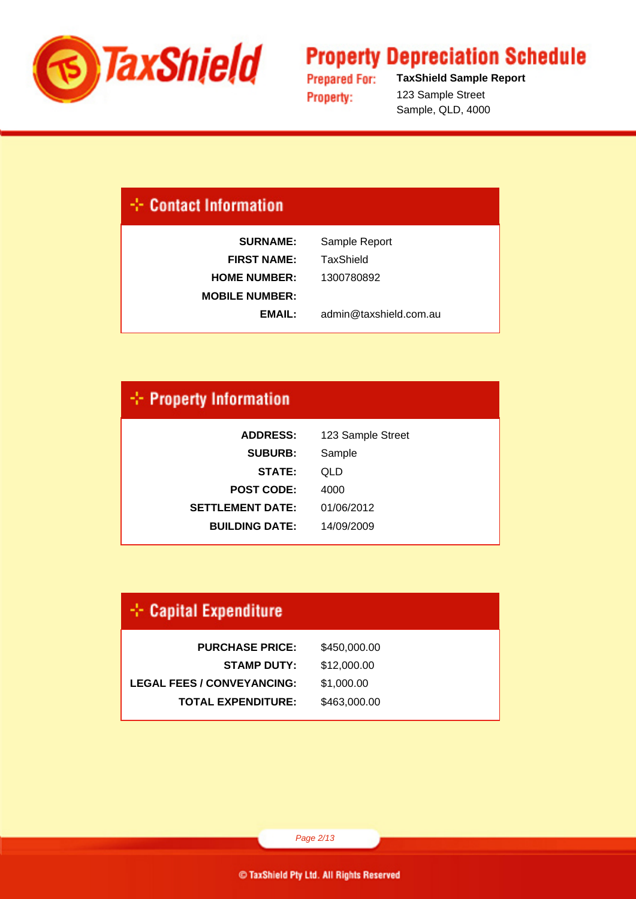

**Prepared For: Property:** 

**TaxShield Sample Report** 123 Sample Street Sample, QLD, 4000

### **Contact Information**

| <b>SURNAME:</b>       | Sample Report          |
|-----------------------|------------------------|
| <b>FIRST NAME:</b>    | TaxShield              |
| <b>HOME NUMBER:</b>   | 1300780892             |
| <b>MOBILE NUMBER:</b> |                        |
| EMAIL:                | admin@taxshield.com.au |
|                       |                        |

### $\div$  Property Information

| <b>ADDRESS:</b>         | 123 Sample Street |
|-------------------------|-------------------|
| <b>SUBURB:</b>          | Sample            |
| STATE:                  | QLD               |
| <b>POST CODE:</b>       | 4000              |
| <b>SETTLEMENT DATE:</b> | 01/06/2012        |
| <b>BUILDING DATE:</b>   | 14/09/2009        |
|                         |                   |

### $\div$  Capital Expenditure

| \$450,000.00 |
|--------------|
| \$12,000.00  |
| \$1,000.00   |
| \$463,000.00 |
|              |

Page 2/13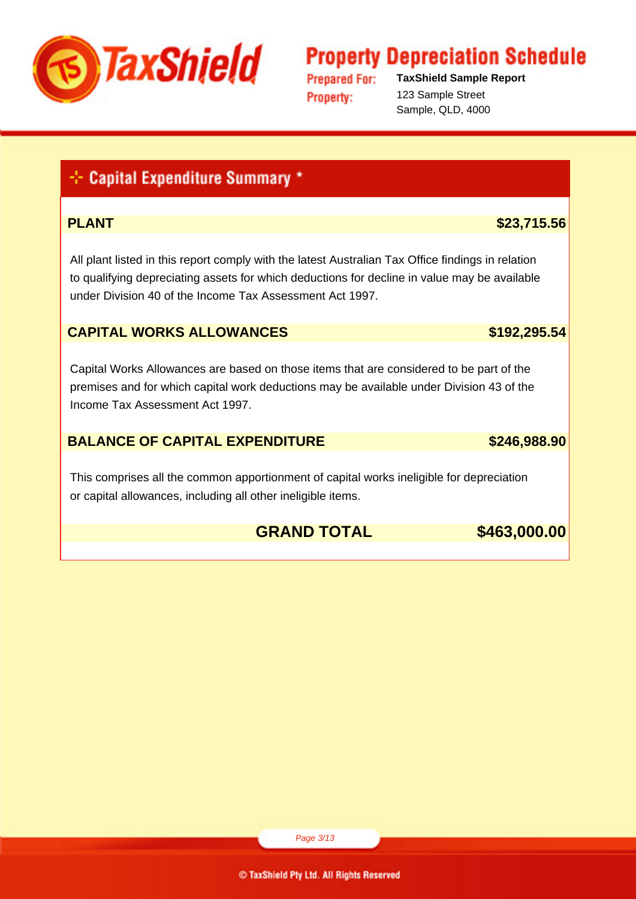

**Prepared For: Property:** 

**TaxShield Sample Report** 123 Sample Street Sample, QLD, 4000

### + Capital Expenditure Summary \*

#### **PLANT** \$23,715.56

 All plant listed in this report comply with the latest Australian Tax Office findings in relation to qualifying depreciating assets for which deductions for decline in value may be available under Division 40 of the Income Tax Assessment Act 1997.

#### **CAPITAL WORKS ALLOWANCES 192,295.54**

 Capital Works Allowances are based on those items that are considered to be part of the premises and for which capital work deductions may be available under Division 43 of the Income Tax Assessment Act 1997.

#### **BALANCE OF CAPITAL EXPENDITURE 6246.988.90**

 This comprises all the common apportionment of capital works ineligible for depreciation or capital allowances, including all other ineligible items.

### **GRAND TOTAL \$463,000.00**

Page 3/13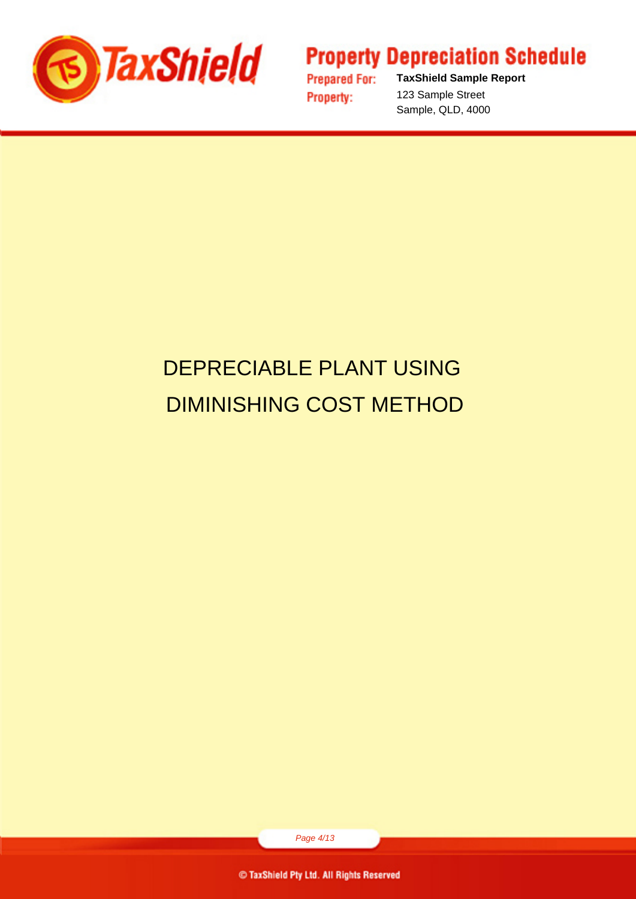

**Prepared For: Property:** 

**TaxShield Sample Report** 123 Sample Street Sample, QLD, 4000

# DEPRECIABLE PLANT USING DIMINISHING COST METHOD

Page 4/13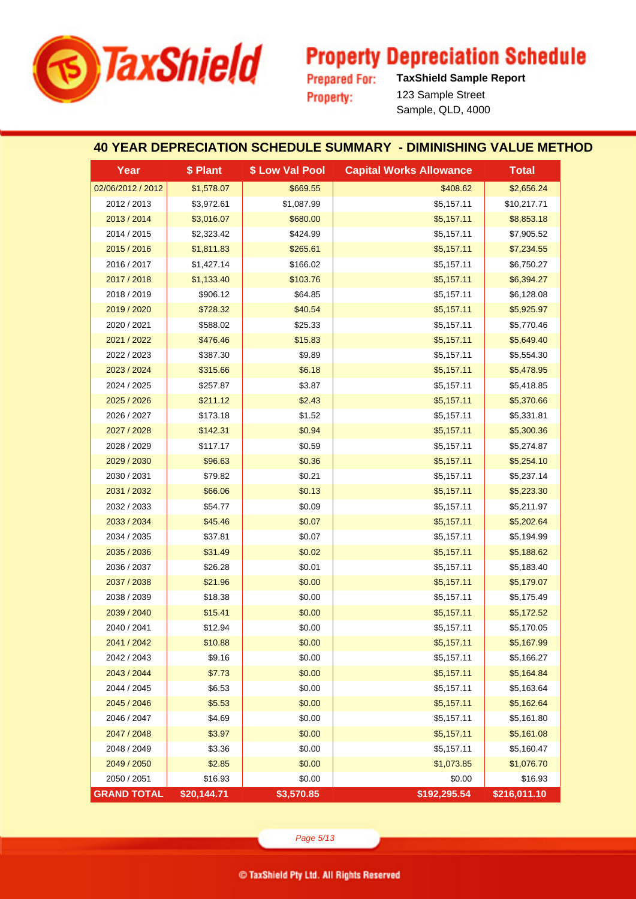

**Prepared For: Property:** 

**TaxShield Sample Report** 123 Sample Street Sample, QLD, 4000

#### **40 YEAR DEPRECIATION SCHEDULE SUMMARY - DIMINISHING VALUE METHOD**

| Year               | \$ Plant    | \$ Low Val Pool | <b>Capital Works Allowance</b> | <b>Total</b> |
|--------------------|-------------|-----------------|--------------------------------|--------------|
| 02/06/2012 / 2012  | \$1,578.07  | \$669.55        | \$408.62                       | \$2,656.24   |
| 2012 / 2013        | \$3,972.61  | \$1,087.99      | \$5,157.11                     | \$10,217.71  |
| 2013 / 2014        | \$3,016.07  | \$680.00        | \$5,157.11                     | \$8,853.18   |
| 2014 / 2015        | \$2,323.42  | \$424.99        | \$5,157.11                     | \$7,905.52   |
| 2015 / 2016        | \$1,811.83  | \$265.61        | \$5,157.11                     | \$7,234.55   |
| 2016 / 2017        | \$1,427.14  | \$166.02        | \$5,157.11                     | \$6,750.27   |
| 2017 / 2018        | \$1,133.40  | \$103.76        | \$5,157.11                     | \$6,394.27   |
| 2018 / 2019        | \$906.12    | \$64.85         | \$5,157.11                     | \$6,128.08   |
| 2019 / 2020        | \$728.32    | \$40.54         | \$5,157.11                     | \$5,925.97   |
| 2020 / 2021        | \$588.02    | \$25.33         | \$5,157.11                     | \$5,770.46   |
| 2021 / 2022        | \$476.46    | \$15.83         | \$5,157.11                     | \$5,649.40   |
| 2022 / 2023        | \$387.30    | \$9.89          | \$5,157.11                     | \$5,554.30   |
| 2023 / 2024        | \$315.66    | \$6.18          | \$5,157.11                     | \$5,478.95   |
| 2024 / 2025        | \$257.87    | \$3.87          | \$5,157.11                     | \$5,418.85   |
| 2025 / 2026        | \$211.12    | \$2.43          | \$5,157.11                     | \$5,370.66   |
| 2026 / 2027        | \$173.18    | \$1.52          | \$5,157.11                     | \$5,331.81   |
| 2027 / 2028        | \$142.31    | \$0.94          | \$5,157.11                     | \$5,300.36   |
| 2028 / 2029        | \$117.17    | \$0.59          | \$5,157.11                     | \$5,274.87   |
| 2029 / 2030        | \$96.63     | \$0.36          | \$5,157.11                     | \$5,254.10   |
| 2030 / 2031        | \$79.82     | \$0.21          | \$5,157.11                     | \$5,237.14   |
| 2031 / 2032        | \$66.06     | \$0.13          | \$5,157.11                     | \$5,223.30   |
| 2032 / 2033        | \$54.77     | \$0.09          | \$5,157.11                     | \$5,211.97   |
| 2033 / 2034        | \$45.46     | \$0.07          | \$5,157.11                     | \$5,202.64   |
| 2034 / 2035        | \$37.81     | \$0.07          | \$5,157.11                     | \$5,194.99   |
| 2035 / 2036        | \$31.49     | \$0.02          | \$5,157.11                     | \$5,188.62   |
| 2036 / 2037        | \$26.28     | \$0.01          | \$5,157.11                     | \$5,183.40   |
| 2037 / 2038        | \$21.96     | \$0.00          | \$5,157.11                     | \$5,179.07   |
| 2038 / 2039        | \$18.38     | \$0.00          | \$5,157.11                     | \$5,175.49   |
| 2039 / 2040        | \$15.41     | \$0.00          | \$5,157.11                     | \$5,172.52   |
| 2040 / 2041        | \$12.94     | \$0.00          | \$5,157.11                     | \$5,170.05   |
| 2041 / 2042        | \$10.88     | \$0.00          | \$5,157.11                     | \$5,167.99   |
| 2042 / 2043        | \$9.16      | \$0.00          | \$5,157.11                     | \$5,166.27   |
| 2043 / 2044        | \$7.73      | \$0.00          | \$5,157.11                     | \$5,164.84   |
| 2044 / 2045        | \$6.53      | \$0.00          | \$5,157.11                     | \$5,163.64   |
| 2045 / 2046        | \$5.53      | \$0.00          | \$5,157.11                     | \$5,162.64   |
| 2046 / 2047        | \$4.69      | \$0.00          | \$5,157.11                     | \$5,161.80   |
| 2047 / 2048        | \$3.97      | \$0.00          | \$5,157.11                     | \$5,161.08   |
| 2048 / 2049        | \$3.36      | \$0.00          | \$5,157.11                     | \$5,160.47   |
| 2049 / 2050        | \$2.85      | \$0.00          | \$1,073.85                     | \$1,076.70   |
| 2050 / 2051        | \$16.93     | \$0.00          | \$0.00                         | \$16.93      |
| <b>GRAND TOTAL</b> | \$20,144.71 | \$3,570.85      | \$192,295.54                   | \$216,011.10 |

Page 5/13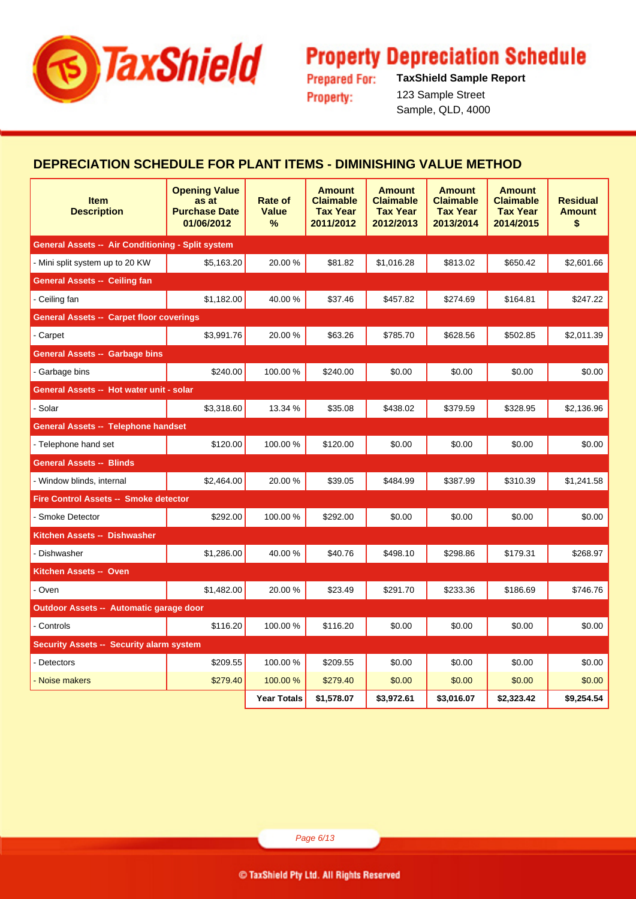

**Prepared For: Property:** 

**TaxShield Sample Report** 123 Sample Street Sample, QLD, 4000

#### **DEPRECIATION SCHEDULE FOR PLANT ITEMS - DIMINISHING VALUE METHOD**

| <b>Item</b><br><b>Description</b>                        | <b>Opening Value</b><br>as at<br><b>Purchase Date</b><br>01/06/2012 | Rate of<br>Value<br>$\%$ | <b>Amount</b><br><b>Claimable</b><br><b>Tax Year</b><br>2011/2012 | <b>Amount</b><br><b>Claimable</b><br><b>Tax Year</b><br>2012/2013 | <b>Amount</b><br><b>Claimable</b><br><b>Tax Year</b><br>2013/2014 | <b>Amount</b><br><b>Claimable</b><br><b>Tax Year</b><br>2014/2015 | <b>Residual</b><br><b>Amount</b><br>\$ |
|----------------------------------------------------------|---------------------------------------------------------------------|--------------------------|-------------------------------------------------------------------|-------------------------------------------------------------------|-------------------------------------------------------------------|-------------------------------------------------------------------|----------------------------------------|
| <b>General Assets -- Air Conditioning - Split system</b> |                                                                     |                          |                                                                   |                                                                   |                                                                   |                                                                   |                                        |
| - Mini split system up to 20 KW                          | \$5,163.20                                                          | 20.00%                   | \$81.82                                                           | \$1,016.28                                                        | \$813.02                                                          | \$650.42                                                          | \$2,601.66                             |
| <b>General Assets -- Ceiling fan</b>                     |                                                                     |                          |                                                                   |                                                                   |                                                                   |                                                                   |                                        |
| - Ceiling fan                                            | \$1,182.00                                                          | 40.00%                   | \$37.46                                                           | \$457.82                                                          | \$274.69                                                          | \$164.81                                                          | \$247.22                               |
| <b>General Assets -- Carpet floor coverings</b>          |                                                                     |                          |                                                                   |                                                                   |                                                                   |                                                                   |                                        |
| - Carpet                                                 | \$3,991.76                                                          | 20.00 %                  | \$63.26                                                           | \$785.70                                                          | \$628.56                                                          | \$502.85                                                          | \$2,011.39                             |
| <b>General Assets -- Garbage bins</b>                    |                                                                     |                          |                                                                   |                                                                   |                                                                   |                                                                   |                                        |
| - Garbage bins                                           | \$240.00                                                            | 100.00%                  | \$240.00                                                          | \$0.00                                                            | \$0.00                                                            | \$0.00                                                            | \$0.00                                 |
| General Assets -- Hot water unit - solar                 |                                                                     |                          |                                                                   |                                                                   |                                                                   |                                                                   |                                        |
| - Solar                                                  | \$3,318.60                                                          | 13.34 %                  | \$35.08                                                           | \$438.02                                                          | \$379.59                                                          | \$328.95                                                          | \$2,136.96                             |
| <b>General Assets -- Telephone handset</b>               |                                                                     |                          |                                                                   |                                                                   |                                                                   |                                                                   |                                        |
| - Telephone hand set                                     | \$120.00                                                            | 100.00%                  | \$120.00                                                          | \$0.00                                                            | \$0.00                                                            | \$0.00                                                            | \$0.00                                 |
| <b>General Assets -- Blinds</b>                          |                                                                     |                          |                                                                   |                                                                   |                                                                   |                                                                   |                                        |
| - Window blinds, internal                                | \$2,464.00                                                          | 20.00 %                  | \$39.05                                                           | \$484.99                                                          | \$387.99                                                          | \$310.39                                                          | \$1,241.58                             |
| Fire Control Assets -- Smoke detector                    |                                                                     |                          |                                                                   |                                                                   |                                                                   |                                                                   |                                        |
| - Smoke Detector                                         | \$292.00                                                            | 100.00%                  | \$292.00                                                          | \$0.00                                                            | \$0.00                                                            | \$0.00                                                            | \$0.00                                 |
| Kitchen Assets -- Dishwasher                             |                                                                     |                          |                                                                   |                                                                   |                                                                   |                                                                   |                                        |
| - Dishwasher                                             | \$1,286.00                                                          | 40.00%                   | \$40.76                                                           | \$498.10                                                          | \$298.86                                                          | \$179.31                                                          | \$268.97                               |
| Kitchen Assets -- Oven                                   |                                                                     |                          |                                                                   |                                                                   |                                                                   |                                                                   |                                        |
| - Oven                                                   | \$1,482.00                                                          | 20.00%                   | \$23.49                                                           | \$291.70                                                          | \$233.36                                                          | \$186.69                                                          | \$746.76                               |
| Outdoor Assets -- Automatic garage door                  |                                                                     |                          |                                                                   |                                                                   |                                                                   |                                                                   |                                        |
| - Controls                                               | \$116.20                                                            | 100.00%                  | \$116.20                                                          | \$0.00                                                            | \$0.00                                                            | \$0.00                                                            | \$0.00                                 |
| <b>Security Assets -- Security alarm system</b>          |                                                                     |                          |                                                                   |                                                                   |                                                                   |                                                                   |                                        |
| - Detectors                                              | \$209.55                                                            | 100.00%                  | \$209.55                                                          | \$0.00                                                            | \$0.00                                                            | \$0.00                                                            | \$0.00                                 |
| - Noise makers                                           | \$279.40                                                            | 100.00 %                 | \$279.40                                                          | \$0.00                                                            | \$0.00                                                            | \$0.00                                                            | \$0.00                                 |
|                                                          |                                                                     | <b>Year Totals</b>       | \$1,578.07                                                        | \$3,972.61                                                        | \$3,016.07                                                        | \$2,323.42                                                        | \$9,254.54                             |

Page 6/13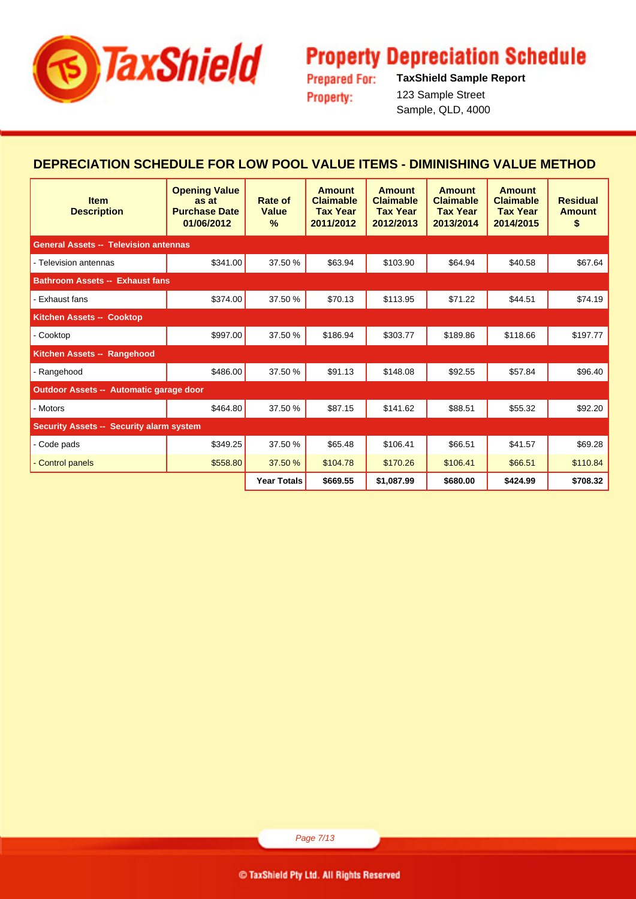

**Prepared For: Property:** 

**TaxShield Sample Report** 123 Sample Street Sample, QLD, 4000

#### **DEPRECIATION SCHEDULE FOR LOW POOL VALUE ITEMS - DIMINISHING VALUE METHOD**

| <b>Item</b><br><b>Description</b>               | <b>Opening Value</b><br>as at<br><b>Purchase Date</b><br>01/06/2012 | Rate of<br><b>Value</b><br>$\frac{9}{6}$ | <b>Amount</b><br><b>Claimable</b><br><b>Tax Year</b><br>2011/2012 | <b>Amount</b><br><b>Claimable</b><br><b>Tax Year</b><br>2012/2013 | Amount<br><b>Claimable</b><br><b>Tax Year</b><br>2013/2014 | Amount<br><b>Claimable</b><br><b>Tax Year</b><br>2014/2015 | <b>Residual</b><br><b>Amount</b><br>\$ |
|-------------------------------------------------|---------------------------------------------------------------------|------------------------------------------|-------------------------------------------------------------------|-------------------------------------------------------------------|------------------------------------------------------------|------------------------------------------------------------|----------------------------------------|
| <b>General Assets -- Television antennas</b>    |                                                                     |                                          |                                                                   |                                                                   |                                                            |                                                            |                                        |
| - Television antennas                           | \$341.00                                                            | 37.50 %                                  | \$63.94                                                           | \$103.90                                                          | \$64.94                                                    | \$40.58                                                    | \$67.64                                |
| <b>Bathroom Assets -- Exhaust fans</b>          |                                                                     |                                          |                                                                   |                                                                   |                                                            |                                                            |                                        |
| - Exhaust fans                                  | \$374.00                                                            | 37.50 %                                  | \$70.13                                                           | \$113.95                                                          | \$71.22                                                    | \$44.51                                                    | \$74.19                                |
| Kitchen Assets -- Cooktop                       |                                                                     |                                          |                                                                   |                                                                   |                                                            |                                                            |                                        |
| - Cooktop                                       | \$997.00                                                            | 37.50 %                                  | \$186.94                                                          | \$303.77                                                          | \$189.86                                                   | \$118.66                                                   | \$197.77                               |
| Kitchen Assets -- Rangehood                     |                                                                     |                                          |                                                                   |                                                                   |                                                            |                                                            |                                        |
| - Rangehood                                     | \$486.00                                                            | 37.50 %                                  | \$91.13                                                           | \$148.08                                                          | \$92.55                                                    | \$57.84                                                    | \$96.40                                |
| Outdoor Assets -- Automatic garage door         |                                                                     |                                          |                                                                   |                                                                   |                                                            |                                                            |                                        |
| - Motors                                        | \$464.80                                                            | 37.50 %                                  | \$87.15                                                           | \$141.62                                                          | \$88.51                                                    | \$55.32                                                    | \$92.20                                |
| <b>Security Assets -- Security alarm system</b> |                                                                     |                                          |                                                                   |                                                                   |                                                            |                                                            |                                        |
| - Code pads                                     | \$349.25                                                            | 37.50 %                                  | \$65.48                                                           | \$106.41                                                          | \$66.51                                                    | \$41.57                                                    | \$69.28                                |
| - Control panels                                | \$558.80                                                            | 37.50 %                                  | \$104.78                                                          | \$170.26                                                          | \$106.41                                                   | \$66.51                                                    | \$110.84                               |
|                                                 |                                                                     | <b>Year Totals</b>                       | \$669.55                                                          | \$1,087.99                                                        | \$680.00                                                   | \$424.99                                                   | \$708.32                               |

Page 7/13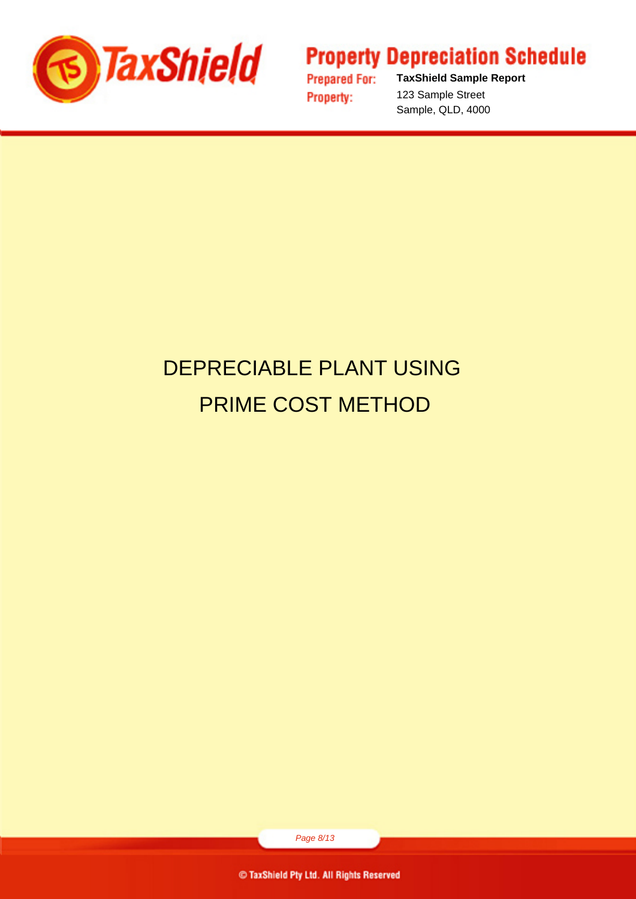

**Prepared For: Property:** 

**TaxShield Sample Report** 123 Sample Street Sample, QLD, 4000

# DEPRECIABLE PLANT USING PRIME COST METHOD

Page 8/13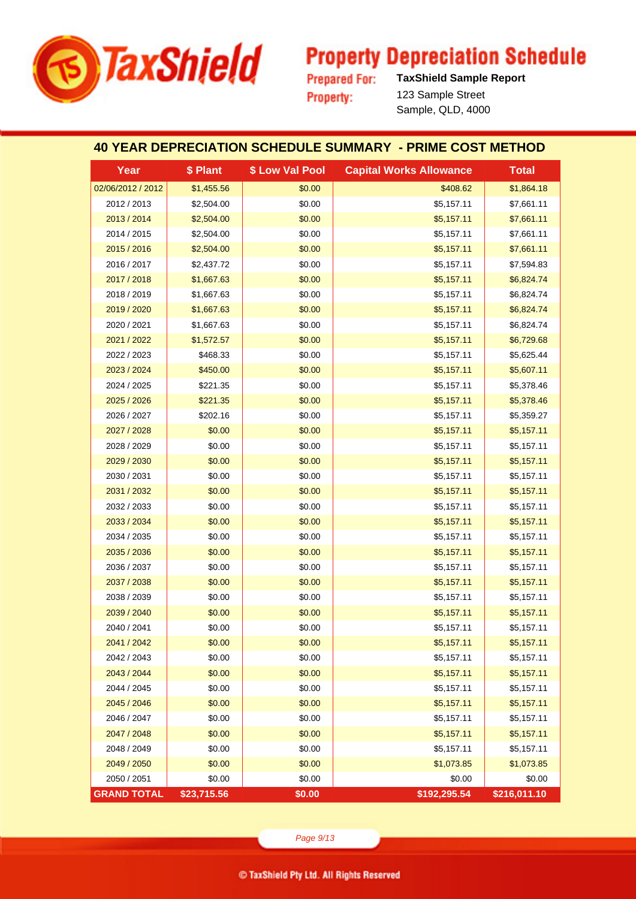

**Prepared For: Property:** 

**TaxShield Sample Report** 123 Sample Street Sample, QLD, 4000

#### **40 YEAR DEPRECIATION SCHEDULE SUMMARY - PRIME COST METHOD**

| Year               | \$ Plant    | \$ Low Val Pool | <b>Capital Works Allowance</b> | <b>Total</b> |
|--------------------|-------------|-----------------|--------------------------------|--------------|
| 02/06/2012 / 2012  | \$1,455.56  | \$0.00          | \$408.62                       | \$1,864.18   |
| 2012 / 2013        | \$2,504.00  | \$0.00          | \$5,157.11                     | \$7,661.11   |
| 2013 / 2014        | \$2,504.00  | \$0.00          | \$5,157.11                     | \$7,661.11   |
| 2014 / 2015        | \$2,504.00  | \$0.00          | \$5,157.11                     | \$7,661.11   |
| 2015 / 2016        | \$2,504.00  | \$0.00          | \$5,157.11                     | \$7,661.11   |
| 2016 / 2017        | \$2,437.72  | \$0.00          | \$5,157.11                     | \$7,594.83   |
| 2017 / 2018        | \$1,667.63  | \$0.00          | \$5,157.11                     | \$6,824.74   |
| 2018 / 2019        | \$1,667.63  | \$0.00          | \$5,157.11                     | \$6,824.74   |
| 2019 / 2020        | \$1,667.63  | \$0.00          | \$5,157.11                     | \$6,824.74   |
| 2020 / 2021        | \$1,667.63  | \$0.00          | \$5,157.11                     | \$6,824.74   |
| 2021 / 2022        | \$1,572.57  | \$0.00          | \$5,157.11                     | \$6,729.68   |
| 2022 / 2023        | \$468.33    | \$0.00          | \$5,157.11                     | \$5,625.44   |
| 2023 / 2024        | \$450.00    | \$0.00          | \$5,157.11                     | \$5,607.11   |
| 2024 / 2025        | \$221.35    | \$0.00          | \$5,157.11                     | \$5,378.46   |
| 2025 / 2026        | \$221.35    | \$0.00          | \$5,157.11                     | \$5,378.46   |
| 2026 / 2027        | \$202.16    | \$0.00          | \$5,157.11                     | \$5,359.27   |
| 2027 / 2028        | \$0.00      | \$0.00          | \$5,157.11                     | \$5,157.11   |
| 2028 / 2029        | \$0.00      | \$0.00          | \$5,157.11                     | \$5,157.11   |
| 2029 / 2030        | \$0.00      | \$0.00          | \$5,157.11                     | \$5,157.11   |
| 2030 / 2031        | \$0.00      | \$0.00          | \$5,157.11                     | \$5,157.11   |
| 2031 / 2032        | \$0.00      | \$0.00          | \$5,157.11                     | \$5,157.11   |
| 2032 / 2033        | \$0.00      | \$0.00          | \$5,157.11                     | \$5,157.11   |
| 2033 / 2034        | \$0.00      | \$0.00          | \$5,157.11                     | \$5,157.11   |
| 2034 / 2035        | \$0.00      | \$0.00          | \$5,157.11                     | \$5,157.11   |
| 2035 / 2036        | \$0.00      | \$0.00          | \$5,157.11                     | \$5,157.11   |
| 2036 / 2037        | \$0.00      | \$0.00          | \$5,157.11                     | \$5,157.11   |
| 2037 / 2038        | \$0.00      | \$0.00          | \$5,157.11                     | \$5,157.11   |
| 2038 / 2039        | \$0.00      | \$0.00          | \$5,157.11                     | \$5,157.11   |
| 2039 / 2040        | \$0.00      | \$0.00          | \$5,157.11                     | \$5,157.11   |
| 2040 / 2041        | \$0.00      | \$0.00          | \$5,157.11                     | \$5,157.11   |
| 2041 / 2042        | \$0.00      | \$0.00          | \$5,157.11                     | \$5,157.11   |
| 2042 / 2043        | \$0.00      | \$0.00          | \$5,157.11                     | \$5,157.11   |
| 2043 / 2044        | \$0.00      | \$0.00          | \$5,157.11                     | \$5,157.11   |
| 2044 / 2045        | \$0.00      | \$0.00          | \$5,157.11                     | \$5,157.11   |
| 2045 / 2046        | \$0.00      | \$0.00          | \$5,157.11                     | \$5,157.11   |
| 2046 / 2047        | \$0.00      | \$0.00          | \$5,157.11                     | \$5,157.11   |
| 2047 / 2048        | \$0.00      | \$0.00          | \$5,157.11                     | \$5,157.11   |
| 2048 / 2049        | \$0.00      | \$0.00          | \$5,157.11                     | \$5,157.11   |
| 2049 / 2050        | \$0.00      | \$0.00          | \$1,073.85                     | \$1,073.85   |
| 2050 / 2051        | \$0.00      | \$0.00          | \$0.00                         | \$0.00       |
| <b>GRAND TOTAL</b> | \$23,715.56 | \$0.00          | \$192,295.54                   | \$216,011.10 |

Page 9/13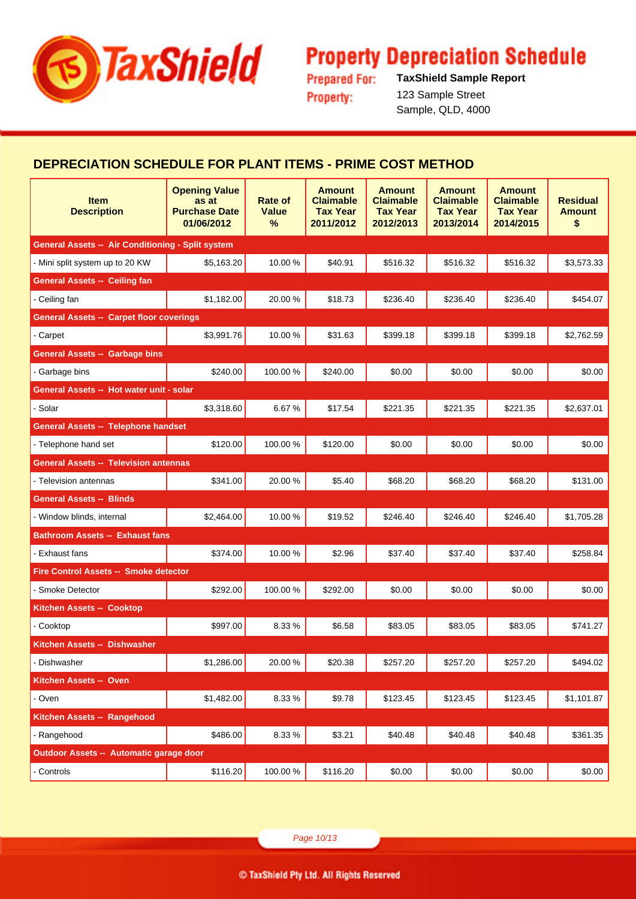

**Prepared For: Property:** 

**TaxShield Sample Report** 123 Sample Street Sample, QLD, 4000

#### **DEPRECIATION SCHEDULE FOR PLANT ITEMS - PRIME COST METHOD**

| <b>Item</b><br><b>Description</b>                 | <b>Opening Value</b><br>as at<br><b>Purchase Date</b><br>01/06/2012 | Rate of<br><b>Value</b><br>% | <b>Amount</b><br><b>Claimable</b><br><b>Tax Year</b><br>2011/2012 | <b>Amount</b><br><b>Claimable</b><br><b>Tax Year</b><br>2012/2013 | <b>Amount</b><br><b>Claimable</b><br><b>Tax Year</b><br>2013/2014 | <b>Amount</b><br><b>Claimable</b><br><b>Tax Year</b><br>2014/2015 | <b>Residual</b><br><b>Amount</b><br>\$ |
|---------------------------------------------------|---------------------------------------------------------------------|------------------------------|-------------------------------------------------------------------|-------------------------------------------------------------------|-------------------------------------------------------------------|-------------------------------------------------------------------|----------------------------------------|
| General Assets -- Air Conditioning - Split system |                                                                     |                              |                                                                   |                                                                   |                                                                   |                                                                   |                                        |
| - Mini split system up to 20 KW                   | \$5,163.20                                                          | 10.00%                       | \$40.91                                                           | \$516.32                                                          | \$516.32                                                          | \$516.32                                                          | \$3,573.33                             |
| <b>General Assets -- Ceiling fan</b>              |                                                                     |                              |                                                                   |                                                                   |                                                                   |                                                                   |                                        |
| - Ceiling fan                                     | \$1,182.00                                                          | 20.00%                       | \$18.73                                                           | \$236.40                                                          | \$236.40                                                          | \$236.40                                                          | \$454.07                               |
| <b>General Assets -- Carpet floor coverings</b>   |                                                                     |                              |                                                                   |                                                                   |                                                                   |                                                                   |                                        |
| - Carpet                                          | \$3,991.76                                                          | 10.00%                       | \$31.63                                                           | \$399.18                                                          | \$399.18                                                          | \$399.18                                                          | \$2,762.59                             |
| <b>General Assets -- Garbage bins</b>             |                                                                     |                              |                                                                   |                                                                   |                                                                   |                                                                   |                                        |
| - Garbage bins                                    | \$240.00                                                            | 100.00%                      | \$240.00                                                          | \$0.00                                                            | \$0.00                                                            | \$0.00                                                            | \$0.00                                 |
| General Assets -- Hot water unit - solar          |                                                                     |                              |                                                                   |                                                                   |                                                                   |                                                                   |                                        |
| - Solar                                           | \$3,318.60                                                          | 6.67%                        | \$17.54                                                           | \$221.35                                                          | \$221.35                                                          | \$221.35                                                          | \$2,637.01                             |
| <b>General Assets -- Telephone handset</b>        |                                                                     |                              |                                                                   |                                                                   |                                                                   |                                                                   |                                        |
| - Telephone hand set                              | \$120.00                                                            | 100.00%                      | \$120.00                                                          | \$0.00                                                            | \$0.00                                                            | \$0.00                                                            | \$0.00                                 |
| <b>General Assets -- Television antennas</b>      |                                                                     |                              |                                                                   |                                                                   |                                                                   |                                                                   |                                        |
| - Television antennas                             | \$341.00                                                            | 20.00%                       | \$5.40                                                            | \$68.20                                                           | \$68.20                                                           | \$68.20                                                           | \$131.00                               |
| <b>General Assets -- Blinds</b>                   |                                                                     |                              |                                                                   |                                                                   |                                                                   |                                                                   |                                        |
| - Window blinds, internal                         | \$2,464.00                                                          | 10.00%                       | \$19.52                                                           | \$246.40                                                          | \$246.40                                                          | \$246.40                                                          | \$1,705.28                             |
| <b>Bathroom Assets -- Exhaust fans</b>            |                                                                     |                              |                                                                   |                                                                   |                                                                   |                                                                   |                                        |
| - Exhaust fans                                    | \$374.00                                                            | 10.00%                       | \$2.96                                                            | \$37.40                                                           | \$37.40                                                           | \$37.40                                                           | \$258.84                               |
| <b>Fire Control Assets -- Smoke detector</b>      |                                                                     |                              |                                                                   |                                                                   |                                                                   |                                                                   |                                        |
| - Smoke Detector                                  | \$292.00                                                            | 100.00%                      | \$292.00                                                          | \$0.00                                                            | \$0.00                                                            | \$0.00                                                            | \$0.00                                 |
| <b>Kitchen Assets -- Cooktop</b>                  |                                                                     |                              |                                                                   |                                                                   |                                                                   |                                                                   |                                        |
| - Cooktop                                         | \$997.00                                                            | 8.33%                        | \$6.58                                                            | \$83.05                                                           | \$83.05                                                           | \$83.05                                                           | \$741.27                               |
| Kitchen Assets -- Dishwasher                      |                                                                     |                              |                                                                   |                                                                   |                                                                   |                                                                   |                                        |
| - Dishwasher                                      | \$1,286.00                                                          | 20.00%                       | \$20.38                                                           | \$257.20                                                          | \$257.20                                                          | \$257.20                                                          | \$494.02                               |
| Kitchen Assets -- Oven                            |                                                                     |                              |                                                                   |                                                                   |                                                                   |                                                                   |                                        |
| - Oven                                            | \$1,482.00                                                          | 8.33%                        | \$9.78                                                            | \$123.45                                                          | \$123.45                                                          | \$123.45                                                          | \$1,101.87                             |
| Kitchen Assets -- Rangehood                       |                                                                     |                              |                                                                   |                                                                   |                                                                   |                                                                   |                                        |
| - Rangehood                                       | \$486.00                                                            | 8.33%                        | \$3.21                                                            | \$40.48                                                           | \$40.48                                                           | \$40.48                                                           | \$361.35                               |
| Outdoor Assets -- Automatic garage door           |                                                                     |                              |                                                                   |                                                                   |                                                                   |                                                                   |                                        |
| - Controls                                        | \$116.20                                                            | 100.00%                      | \$116.20                                                          | \$0.00                                                            | \$0.00                                                            | \$0.00                                                            | \$0.00                                 |

Page 10/13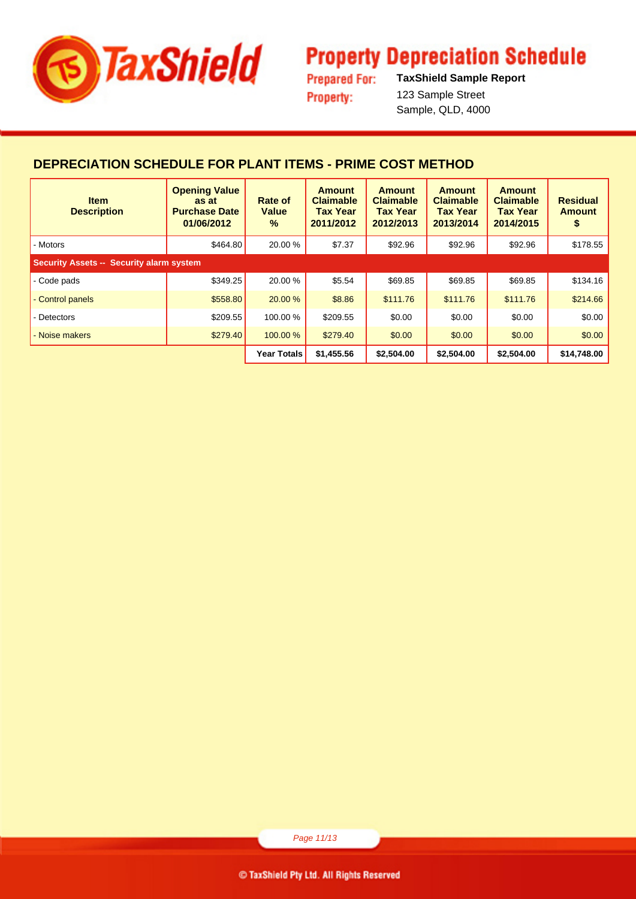

**Prepared For: Property:** 

**TaxShield Sample Report** 123 Sample Street Sample, QLD, 4000

#### **DEPRECIATION SCHEDULE FOR PLANT ITEMS - PRIME COST METHOD**

| <b>Item</b><br><b>Description</b>               | <b>Opening Value</b><br>as at<br><b>Purchase Date</b><br>01/06/2012 | Rate of<br><b>Value</b><br>$\frac{9}{6}$ | <b>Amount</b><br><b>Claimable</b><br><b>Tax Year</b><br>2011/2012 | <b>Amount</b><br><b>Claimable</b><br><b>Tax Year</b><br>2012/2013 | <b>Amount</b><br><b>Claimable</b><br><b>Tax Year</b><br>2013/2014 | <b>Amount</b><br><b>Claimable</b><br><b>Tax Year</b><br>2014/2015 | <b>Residual</b><br><b>Amount</b><br>\$ |
|-------------------------------------------------|---------------------------------------------------------------------|------------------------------------------|-------------------------------------------------------------------|-------------------------------------------------------------------|-------------------------------------------------------------------|-------------------------------------------------------------------|----------------------------------------|
| - Motors                                        | \$464.80                                                            | 20.00 %                                  | \$7.37                                                            | \$92.96                                                           | \$92.96                                                           | \$92.96                                                           | \$178.55                               |
| <b>Security Assets -- Security alarm system</b> |                                                                     |                                          |                                                                   |                                                                   |                                                                   |                                                                   |                                        |
| - Code pads                                     | \$349.25                                                            | 20.00 %                                  | \$5.54                                                            | \$69.85                                                           | \$69.85                                                           | \$69.85                                                           | \$134.16                               |
| - Control panels                                | \$558.80                                                            | 20.00 %                                  | \$8.86                                                            | \$111.76                                                          | \$111.76                                                          | \$111.76                                                          | \$214.66                               |
| - Detectors                                     | \$209.55                                                            | 100.00 %                                 | \$209.55                                                          | \$0.00                                                            | \$0.00                                                            | \$0.00                                                            | \$0.00                                 |
| - Noise makers                                  | \$279.40                                                            | 100.00 %                                 | \$279.40                                                          | \$0.00                                                            | \$0.00                                                            | \$0.00                                                            | \$0.00                                 |
|                                                 |                                                                     | <b>Year Totals</b>                       | \$1,455.56                                                        | \$2,504.00                                                        | \$2,504.00                                                        | \$2,504.00                                                        | \$14,748.00                            |

Page 11/13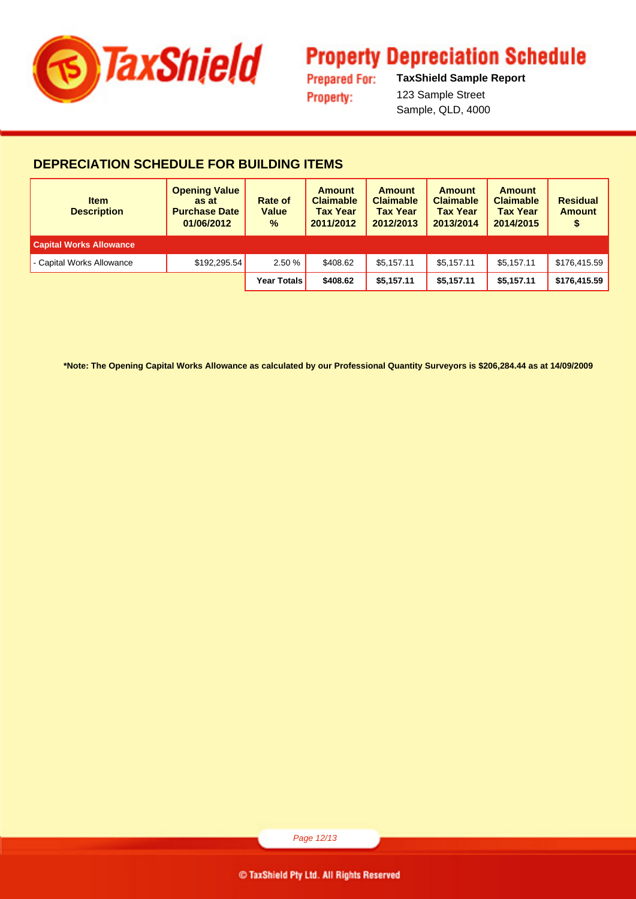

**Prepared For: Property:** 

**TaxShield Sample Report** 123 Sample Street Sample, QLD, 4000

#### **DEPRECIATION SCHEDULE FOR BUILDING ITEMS**

| <b>Item</b><br><b>Description</b> | <b>Opening Value</b><br>as at<br><b>Purchase Date</b><br>01/06/2012 | Rate of<br><b>Value</b><br>$\%$ | <b>Amount</b><br><b>Claimable</b><br><b>Tax Year</b><br>2011/2012 | <b>Amount</b><br><b>Claimable</b><br><b>Tax Year</b><br>2012/2013 | <b>Amount</b><br><b>Claimable</b><br><b>Tax Year</b><br>2013/2014 | <b>Amount</b><br><b>Claimable</b><br><b>Tax Year</b><br>2014/2015 | <b>Residual</b><br><b>Amount</b><br>\$ |
|-----------------------------------|---------------------------------------------------------------------|---------------------------------|-------------------------------------------------------------------|-------------------------------------------------------------------|-------------------------------------------------------------------|-------------------------------------------------------------------|----------------------------------------|
| <b>Capital Works Allowance</b>    |                                                                     |                                 |                                                                   |                                                                   |                                                                   |                                                                   |                                        |
| - Capital Works Allowance         | \$192,295.54                                                        | 2.50 %                          | \$408.62                                                          | \$5.157.11                                                        | \$5.157.11                                                        | \$5.157.11                                                        | \$176.415.59                           |
|                                   |                                                                     | Year Totals                     | \$408.62                                                          | \$5.157.11                                                        | \$5.157.11                                                        | \$5.157.11                                                        | \$176,415.59                           |

**\*Note: The Opening Capital Works Allowance as calculated by our Professional Quantity Surveyors is \$206,284.44 as at 14/09/2009**

Page 12/13